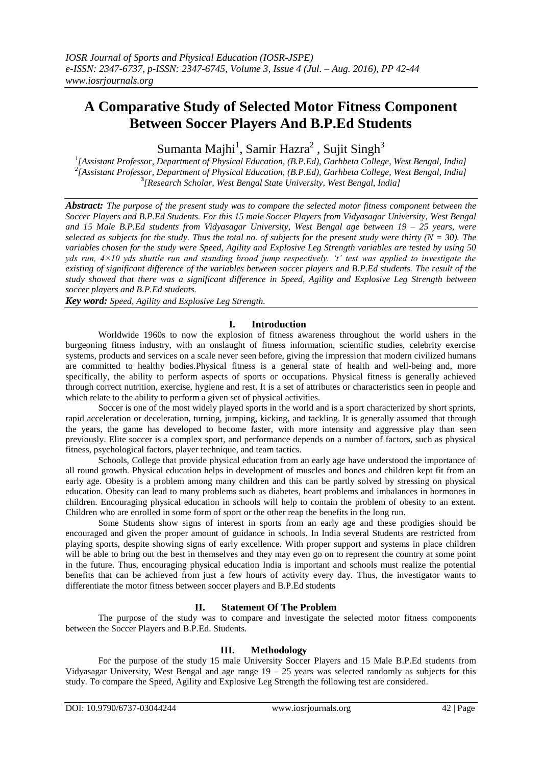# **A Comparative Study of Selected Motor Fitness Component Between Soccer Players And B.P.Ed Students**

Sumanta Majhi<sup>1</sup>, Samir Hazra<sup>2</sup> , Sujit Singh<sup>3</sup>

*1 [Assistant Professor, Department of Physical Education, (B.P.Ed), Garhbeta College, West Bengal, India] 2 [Assistant Professor, Department of Physical Education, (B.P.Ed), Garhbeta College, West Bengal, India]* **3** *[Research Scholar, West Bengal State University, West Bengal, India]*

*Abstract: The purpose of the present study was to compare the selected motor fitness component between the Soccer Players and B.P.Ed Students. For this 15 male Soccer Players from Vidyasagar University, West Bengal and 15 Male B.P.Ed students from Vidyasagar University, West Bengal age between 19 – 25 years, were selected as subjects for the study. Thus the total no. of subjects for the present study were thirty (* $N = 30$ *). The variables chosen for the study were Speed, Agility and Explosive Leg Strength variables are tested by using 50 yds run, 4×10 yds shuttle run and standing broad jump respectively. 't' test was applied to investigate the existing of significant difference of the variables between soccer players and B.P.Ed students. The result of the study showed that there was a significant difference in Speed, Agility and Explosive Leg Strength between soccer players and B.P.Ed students.* 

*Key word: Speed, Agility and Explosive Leg Strength.*

# **I. Introduction**

Worldwide 1960s to now the explosion of fitness awareness throughout the world ushers in the burgeoning fitness industry, with an onslaught of fitness information, scientific studies, celebrity exercise systems, products and services on a scale never seen before, giving the impression that modern civilized humans are committed to healthy bodies.Physical fitness is a general state of [health](http://en.wikipedia.org/wiki/Health) and well-being and, more specifically, the ability to perform aspects of [sports](http://en.wikipedia.org/wiki/Outline_of_sports) or occupations. Physical fitness is generally achieved through correct [nutrition,](http://en.wikipedia.org/wiki/Nutrition) [exercise,](http://en.wikipedia.org/wiki/Physical_exercise) [hygiene](http://en.wikipedia.org/wiki/Hygiene) and rest. It is a set of attributes or characteristics seen in people and which relate to the ability to perform a given set of physical activities.

Soccer is one of the most widely played sports in the world and is a sport characterized by short sprints, rapid acceleration or deceleration, turning, jumping, kicking, and tackling. It is generally assumed that through the years, the game has developed to become faster, with more intensity and aggressive play than seen previously. Elite soccer is a complex sport, and performance depends on a number of factors, such as physical fitness, psychological factors, player technique, and team tactics.

Schools, College that provide physical education from an early age have understood the importance of all round growth. Physical education helps in development of muscles and bones and children kept fit from an early age. Obesity is a problem among many children and this can be partly solved by stressing on physical education. Obesity can lead to many problems such as diabetes, heart problems and imbalances in hormones in children. Encouraging physical education in schools will help to contain the problem of obesity to an extent. Children who are enrolled in some form of sport or the other reap the benefits in the long run.

Some Students show signs of interest in sports from an early age and these prodigies should be encouraged and given the proper amount of guidance in schools. In India several Students are restricted from playing sports, despite showing signs of early excellence. With proper support and systems in place children will be able to bring out the best in themselves and they may even go on to represent the country at some point in the future. Thus, encouraging physical education India is important and schools must realize the potential benefits that can be achieved from just a few hours of activity every day. Thus, the investigator wants to differentiate the motor fitness between soccer players and B.P.Ed students

## **II. Statement Of The Problem**

The purpose of the study was to compare and investigate the selected motor fitness components between the Soccer Players and B.P.Ed. Students.

## **III. Methodology**

For the purpose of the study 15 male University Soccer Players and 15 Male B.P.Ed students from Vidyasagar University, West Bengal and age range  $19 - 25$  years was selected randomly as subjects for this study. To compare the Speed, Agility and Explosive Leg Strength the following test are considered.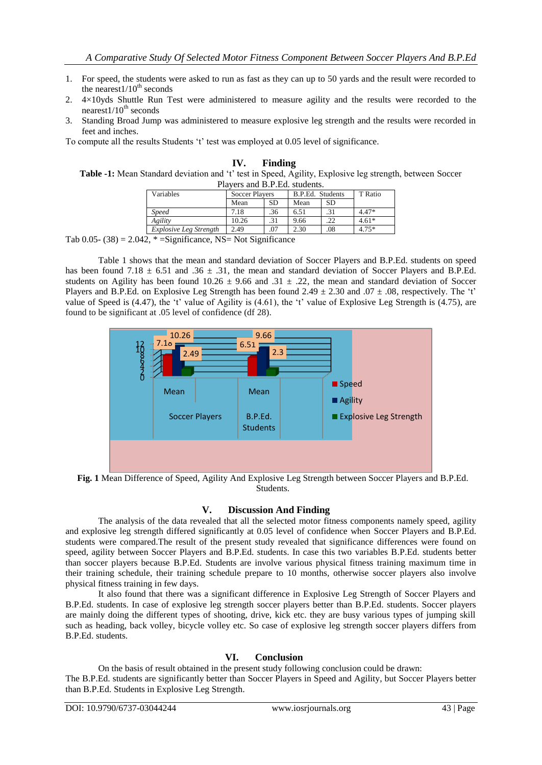- 1. For speed, the students were asked to run as fast as they can up to 50 yards and the result were recorded to the nearest $1/10^{th}$  seconds
- 2.  $4\times10$  vds Shuttle Run Test were administered to measure agility and the results were recorded to the nearest $1/10^{th}$  seconds
- 3. Standing Broad Jump was administered to measure explosive leg strength and the results were recorded in feet and inches.

To compute all the results Students 't' test was employed at 0.05 level of significance.

| Finding                                                                                                  |
|----------------------------------------------------------------------------------------------------------|
| Table -1: Mean Standard deviation and 't' test in Speed, Agility, Explosive leg strength, between Soccer |
| Players and B.P.Ed. students.                                                                            |

| 1 m vols and D.1 .Ed. stadents. |                       |           |                  |           |         |  |
|---------------------------------|-----------------------|-----------|------------------|-----------|---------|--|
| Variables                       | <b>Soccer Players</b> |           | B.P.Ed. Students |           | T Ratio |  |
|                                 | Mean                  | <b>SD</b> | Mean             | <b>SD</b> |         |  |
| <b>Speed</b>                    | 7.18                  | .36       | 6.51             | .31       | $4.47*$ |  |
| Agility                         | 10.26                 | .31       | 9.66             | 22        | $4.61*$ |  |
| Explosive Leg Strength          | 2.49                  | .07       | 2.30             | .08       | $4.75*$ |  |
|                                 |                       |           |                  |           |         |  |

Tab  $0.05 - (38) = 2.042$ , \* = Significance, NS = Not Significance

Table 1 shows that the mean and standard deviation of Soccer Players and B.P.Ed. students on speed has been found 7.18  $\pm$  6.51 and .36  $\pm$  .31, the mean and standard deviation of Soccer Players and B.P.Ed. students on Agility has been found  $10.26 \pm 9.66$  and  $.31 \pm .22$ , the mean and standard deviation of Soccer Players and B.P.Ed. on Explosive Leg Strength has been found  $2.49 \pm 2.30$  and  $.07 \pm .08$ , respectively. The 't' value of Speed is  $(4.47)$ , the 't' value of Agility is  $(4.61)$ , the 't' value of Explosive Leg Strength is  $(4.75)$ , are found to be significant at .05 level of confidence (df 28).



**Fig. 1** Mean Difference of Speed, Agility And Explosive Leg Strength between Soccer Players and B.P.Ed. Students.

## **V. Discussion And Finding**

The analysis of the data revealed that all the selected motor fitness components namely speed, agility and explosive leg strength differed significantly at 0.05 level of confidence when Soccer Players and B.P.Ed. students were compared.The result of the present study revealed that significance differences were found on speed, agility between Soccer Players and B.P.Ed. students. In case this two variables B.P.Ed. students better than soccer players because B.P.Ed. Students are involve various physical fitness training maximum time in their training schedule, their training schedule prepare to 10 months, otherwise soccer players also involve physical fitness training in few days.

It also found that there was a significant difference in Explosive Leg Strength of Soccer Players and B.P.Ed. students. In case of explosive leg strength soccer players better than B.P.Ed. students. Soccer players are mainly doing the different types of shooting, drive, kick etc. they are busy various types of jumping skill such as heading, back volley, bicycle volley etc. So case of explosive leg strength soccer players differs from B.P.Ed. students.

## **VI. Conclusion**

On the basis of result obtained in the present study following conclusion could be drawn: The B.P.Ed. students are significantly better than Soccer Players in Speed and Agility, but Soccer Players better than B.P.Ed. Students in Explosive Leg Strength.